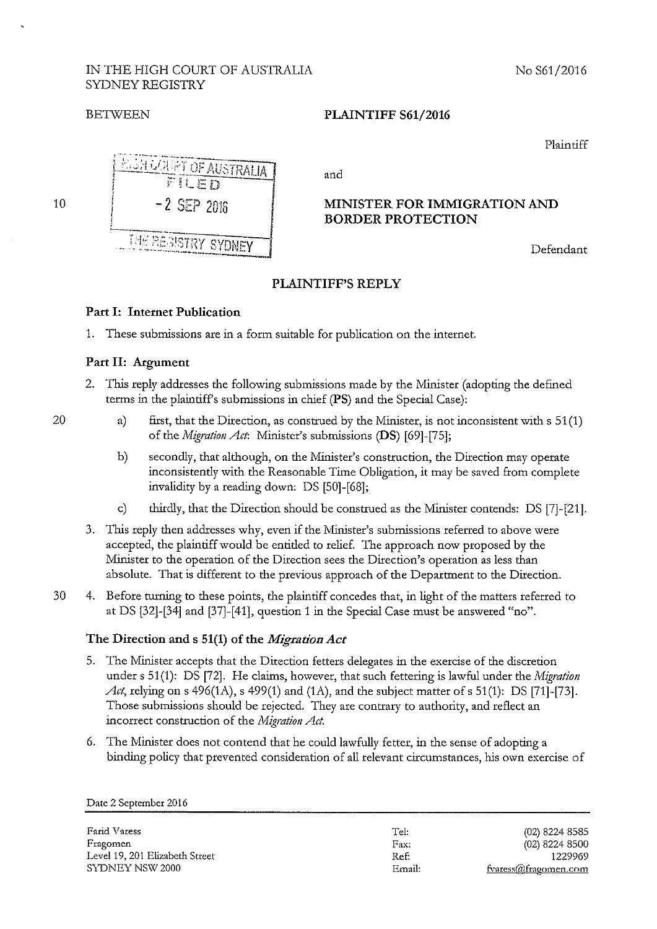#### IN THE HIGH COURT OF AUSTRALIA No S61/2016 SYDNEY REGISTRY

#### **BETWEEN PLAINTIFF S61/2016**

Plaintiff



## **PLAINTIFF'S REPLY**

## **Part I: Internet Publication**

1. These submissions are in a form suitable for publication on the internet.

#### **Part II: Argument**

20

- 2. This reply addresses the following submissions made by the Minister (adopting the defined terms in the plaintiff's submissions in chief **(PS)** and the Special Case):
	- a) first, that the Direction, as construed by the Minister, is not inconsistent with s 51(1) of the *Migration Act:* Minister's submissions **(DS)** [69]-[75];
	- b) secondly, that although, on the Minister's construction, the Direction may operate inconsistently with the Reasonable Time Obligation, it may be saved from complete invalidity by a reading down: DS [50]-[68];
	- c) thirdly, that the Direction should be construed as the Minister contends: DS [7]-[21].
- 3. This reply then addresses why, even if the Minister's submissions referred to above were accepted, the plaintiff would be entitled to relief. The approach now proposed by the Minister to the operation of the Direction sees the Direction's operation as less than absolute. That is different to the previous approach of the Department to the Direction.
- 30 4. Before turning to these points, the plaintiff concedes that, in light of the matters referred to at DS [32]-[34] and [37]-[41], question 1 in the Special Case must be answered "no".

## **The Direction and s 51(1) of the** *Migration Act*

- 5. The Minister accepts that the Direction fetters delegates in the exercise of the discretion under s 51(1): DS [72]. He claims, however, that such fettering is lawful under the *Migration Att*, relying on s 496(1A), s 499(1) and (1A), and the subject matter of s 51(1): DS [71]-[73]. Those submissions should be rejected. They are contraty to authority, and reflect an incorrect construction of the *Migration Act*.
- 6. The Minister does not contend that he could lawfully fetter, in the sense of adopting a binding policy that prevented consideration of all relevant circumstances, his own exercise of

**Farid Varess Fragomen**  Level 19, 201 Elizabeth Street SYDNEY NSW 2000

Tel: **Fax:**  Ref: Email:

(02) 8224 8585 (02) 8224 8500 1229969 **fvaress@fragomen.com**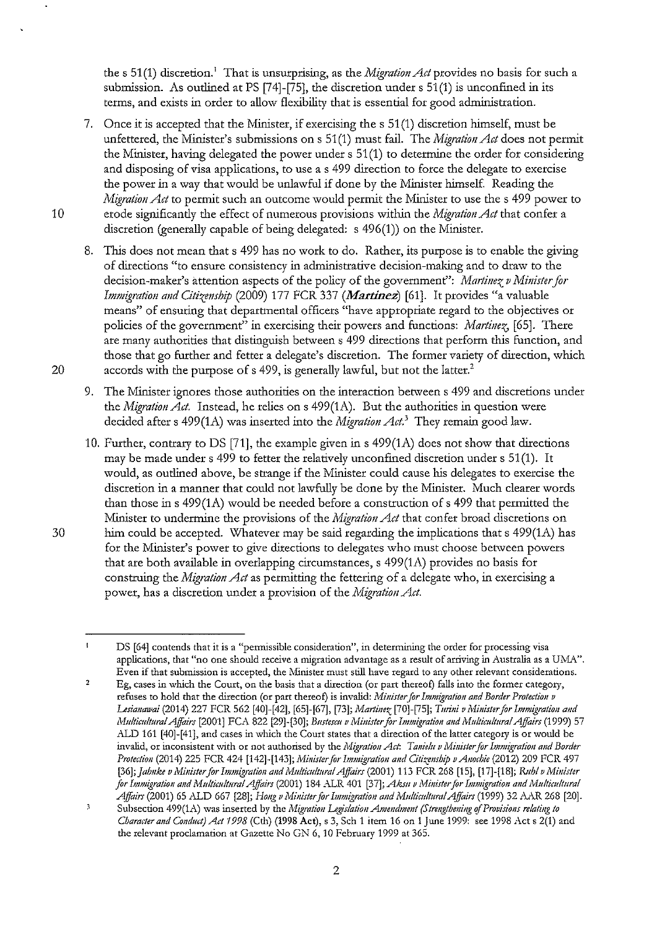the s 51(1) discretion.<sup>1</sup> That is unsurprising, as the *Migration Act* provides no basis for such a submission. As outlined at PS  $[74]-[75]$ , the discretion under s  $51(1)$  is unconfined in its terms, and exists in order to allow flexibility that is essential for good administration.

- 7. Once it is accepted that the Minister, if exercising the s 51 (1) discretion himself, must be unfettered, the Minister's submissions on s 51(1) must fail. The *Migration Act* does not permit the Minister, having delegated the power under s 51 (1) to determine the order for considering and disposing of visa applications, to use a s 499 direction to force the delegate to exercise the power in a way that would be unlawful if done by the Minister himself. Reading the *Migration Act* to permit such an outcome would permit the Minister to use the s 499 power to 10 erode significantly the effect of numerous provisions within the *Migration Act* that confer a discretion (generally capable of being delegated: s 496(1)) on the Minister.
- 8. This does not mean that s 499 has no work to do. Rather, its purpose is to enable the giving of directions "to ensure consistency in administrative decision-making and to draw to the decision-maker's attention aspects of the policy of the government": *Martinez v Minister for Immigration and Citizenship (2009) 177 FCR 337 (Martinez)* [61]. It provides "a valuable means" of ensuring that departmental officers "have appropriate regard to the objectives or policies of the government" in exercising their powers and functions: *Martinez*, [65]. There are many authorities that distinguish between s 499 directions that perform this function, and those that go further and fetter a delegate's discretion. The former variety of direction, which 20 accords with the purpose of s 499, is generally lawful, but not the latter.<sup>2</sup>
	- 9. The Minister ignores those authorities on the interaction between s 499 and discretions under the *Migration Ad.* Instead, he relies on s 499(1A). But the authorities in question were decided after s 499(1A) was inserted into the *Migration Act*.<sup>3</sup> They remain good law.
- 10. Further, contrary to DS [71], the example given ins 499(1A) does not show that directions may be made under s 499 to fetter the relatively unconfined discretion under s 51(1). It would, as outlined above, be strange if the Minister could cause his delegates to exercise the discretion in a manner that could not lawfully be done by the Minister. Much clearer words than those in s  $499(1A)$  would be needed before a construction of s  $499$  that permitted the Minister to undermine the provisions of the *Migration Act* that confer broad discretions on  $30$  bim could be accepted. Whatever may be said regarding the implications that s 499(1A) has for the Minister's power to give directions to delegates who must choose between powers that are both available in overlapping circumstances,  $s$  499(1A) provides no basis for construing the *Migration Act* as permitting the fettering of a delegate who, in exercising a power, has a discretion under a provision of the *Migration Act*.

 $\mathbf{I}$ **DS [64] contends that it is a "permissible consideration", in determining the order for processing visa**  applications, that "no one should receive a migration advantage as a result of arriving in Australia as a UMA". Even if that submission is accepted, the Minister must still have regard to any other relevant considerations.

<sup>2</sup>  Eg, cases in which the Court, on the basis that a direction (or part thereof) falls into the former category, refuses to hold that the direction (or part thereof) is invalid: *Minister for Immigration and Border Protection v Lesianawai* (2014) 227 FCR 562 [40]-[42], [65]-[67], [73]; *Martinez* [70]-[75]; *Turini v Minister for Immigration and Multicultural Affairs* [2001] FCA 822 [29]-[30]; *Bustescu v Minister for Immigration and Multicultural Affairs* (1999) 57 ALD 161 [40]-[41], and cases in which the Court states that a direction of the latter category is or would be invalid, or inconsistent with or not authorised by the *Migration Act: Tanielu v Minister for Immigration and Border Protedio11* (2014) 225 FCR 424 [142]-[143]; *lvii11ister for Immigratio11 a11d Citizenship u A11od;ie* (2012) 209 FCR 497 [36]; *Jahnke v Minister for Immigration and Multicultural Affairs* (2001) 113 FCR 268 [15], [17]-[18]; *Rubl v Minister for Immigration and Multicultural Affairs* (2001) 184 ALR 401 [37]; *Aksu v Minister for Immigration and Multicultural Affairs* (2001) 65 ALD 667 [28]; *Hong v Minister for Immigration and Multicultural Affairs* (1999) 32 AAR 268 [20].

 $\overline{\mathbf{3}}$ Subsection 499(1A) was inserted by the *Migration Legislation Amendment (Strengthening of Provisions relating to Character and Conduct) Act 1998* (Cth) (1998 Act), s 3, Sch 1 item 16 on 1 June 1999: see 1998 Act s 2(1) and **the relevant proclamation at Gazette No GN 6, 10 February 1999 at 365.**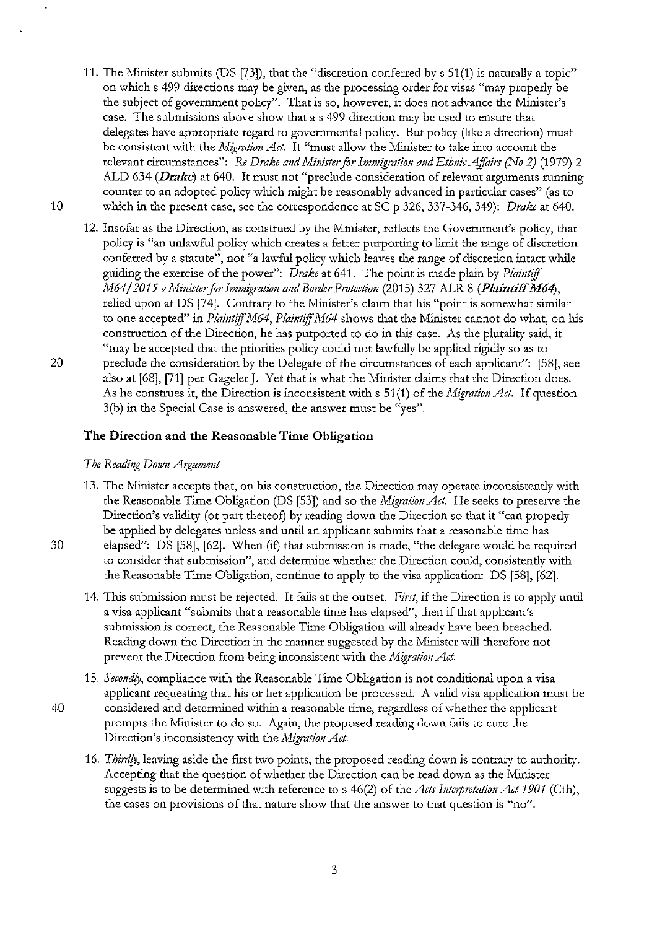- 11. The Minister submits (DS [73]), that the "discretion conferred by s 51(1) is naturally a topic" on which s 499 directions may be given, as the processing order for visas "may properly be the subject of government policy". That is so, however, it does not advance the Minister's case. The submissions above show that a s 499 direction may be used to ensure that delegates have appropriate regard to governmental policy. But policy (like a direction) must be consistent with the *Migration Act*. It "must allow the Minister to take into account the relevant circumstances": *Re Drake and Minister for Immigration and Ethnic Affairs (No 2)* (1979) 2 ALD 634 *(Drake)* at 640. It must not "preclude consideration of relevant arguments mnning counter to an adopted policy which might be reasonably advanced in particular cases" (as to 10 which in the present case, see the correspondence at SC p 326, 337-346, 349): *Drake* at 640.
- 12. Insofar as the Direction, as constmed by the Minister, reflects the Government's policy, that policy is "an unlawful policy which creates a fetter purporting to limit the range of discretion conferred by a statute", not "a lawful policy which leaves the range of discretion intact while guiding the exercise of the power": *Drake* at 641. The point is made plain by *P!aintijj. M64/* 2015 *o Ministerfor Immigration and Border Protedion* (2015) 327 ALR 8 **(Plaintiff M64),**  relied upon at DS [74]. Contrary to the Minister's claim that his "point is somewhat similar to one accepted" in *Plaintiff M64*, *Plaintiff M64* shows that the Minister cannot do what, on his constmction of the Direction, he has purported to do in this case. As the plurality said, it "may be accepted that the priorities policy could not lawfully be applied rigidly so as to 20 preclude the consideration by the Delegate of the circumstances of each applicant": [58], see also at [68], [71] per Gageler J. Yet that is what the Minister claims that the Direction does. As he constmes it, the Direction is inconsistent with s 51(1) of the *Migration Ad.* If question 3(b) in the Special Case is answered, the answer must be "yes".

#### **The Direction and the Reasonable Time Obligation**

#### *The Reading D01vn Argument*

- 13. The Minister accepts that, on his construction, the Direction may operate inconsistently with the Reasonable Time Obligation (OS [53]) and so the *Migration Ad.* He seeks to preserve the Direction's validity (or part thereof) by reading down the Direction so that it "can properly be applied by delegates unless and until an applicant submits that a reasonable time has 30 elapsed": DS [58], [62]. When (if) that submission is made, "the delegate would be required to consider that submission", and determine whether the Direction could, consistently with the Reasonable Time Obligation, continue to apply to the visa application: DS [58], [62].
	- 14. This submission must be rejected. It fails at the outset. *First*, if the Direction is to apply until a visa applicant "submits that a reasonable time has elapsed", then if that applicant's submission is correct, the Reasonable Time Obligation will already have been breached. Reading down the Direction in the manner suggested by the Minister will therefore not prevent the Direction from being inconsistent with the *Migration Act*.
- 15. *Secondly,* compliance with the Reasonable Time Obligation is not conditional upon a visa applicant requesting that his or her application be processed. A valid visa application must be 40 considered and determined within a reasonable time, regardless of whether the applicant prompts the Minister to do so. Again, the proposed reading down fails to cure the Direction's inconsistency with the *Migration Act*.
	- 16. *Thirdly,* leaving aside the flrst two points, the proposed reading down is contrary to authority. Accepting that the question of whether the Direction can be read down as the Minister suggests is to be determined with reference to s 46(2) of the *Acts Interpretation Act 1901* (Cth), the cases on provisions of that nature show that the answer to that question is "no".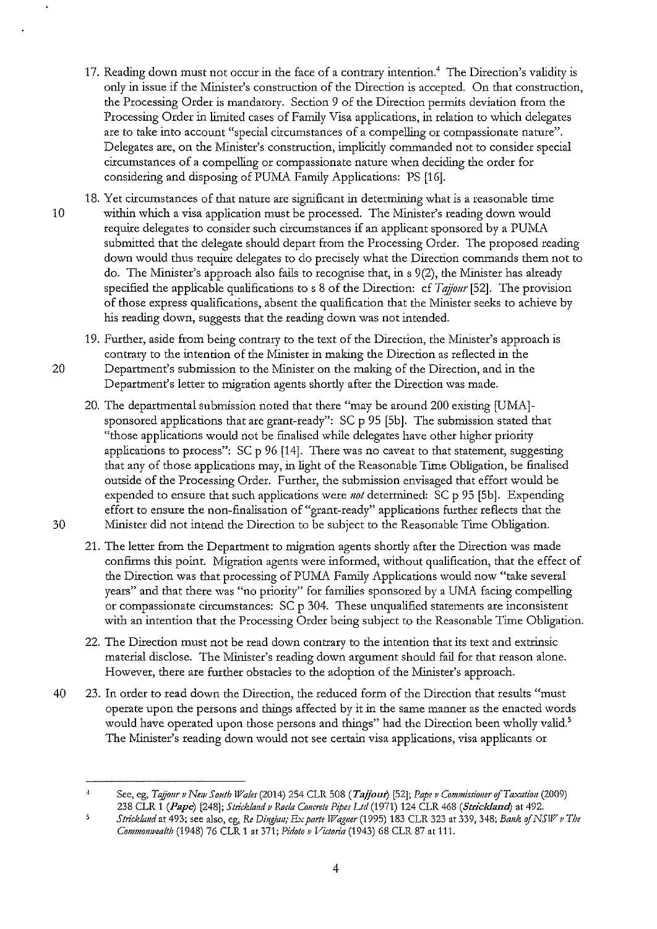- 17. Reading down must not occur in the face of a contrary intention.<sup>4</sup> The Direction's validity is only in issue if the Minister's construction of the Direction is accepted. On that consuuction, the Processing Order is mandatory. Section 9 of the Direction permits deviation from the Processing Order in limited cases of Family Visa applications, in relation to which delegates are to take into account "special circumstances of a compelling or compassionate nature". Delegates are, on the Minister's construction, implicitly commanded not to consider special circumstances of a compelling or compassionate nature when deciding the order for considering and disposing of PUMA Family Applications: PS [16].
- 18. Yet circumstances of that nature are significant in determining what is a reasonable time 10 within which a visa application must be processed. The Minister's reading down would require delegates to consider such circumstances if an applicant sponsored by a PUMA submitted that the delegate should depart from the Processing Order. The proposed reading down would thus require delegates to do precisely what the Direction commands them not to do. The Minister's approach also fails to recognise that, in  $\frac{9(2)}{2}$ , the Minister has already specified the applicable qualifications to s 8 of the Direction: cf *Tajjour* [52]. The provision of those express qualifications, absent the qualification that the Minister seeks to achieve by his reading down, suggests that the reading down was not intended.
- 19. Further, aside from being contrary to the text of the Direction, the Minister's approach is contrary to the intention of the Minister in making the Direction as reflected in the 20 Department's submission to the Minister on the making of the Direction, and in the Department's letter to migration agents shortiy after the Direction was made.
- 20. The departmental submission noted that there "may be around 200 existing [UMA]sponsored applications that are grant-ready": SC p 95 [5b]. The submission stated that "those applications would not be finalised while delegates have other higher priority applications to process":  $SC$  p  $96$  [14]. There was no caveat to that statement, suggesting that any of those applications may, in light of the Reasonable Time Obligation, be finalised outside of the Processing Order. Further, the submission envisaged that effort would be expended to ensure that such applications were *not* determined: SC p 95 [5b]. Expending effort to ensure the non-finalisation of "grant-ready" applications further reflects that the 30 Minister did not intend the Direction to be subject to the Reasonable Time Obligation.
	- 21. The letter from the Department to migration agents shortly after the Direction was made confirms this point. Migration agents were informed, without qualification, that the effect of the Direction was that processing of PUMA Family Applications would now "take several years" and that there was "no priority" for families sponsored by a UMA facing compelling or compassionate circumstances:  $SC p 304$ . These unqualified statements are inconsistent with an intention that the Processing Order being subject to the Reasonable Time Obligation.
	- 22. The Direction must not be read down contrary to the intention that its text and extrinsic material disclose. The Minister's reading down argument should fail for that reason alone. However, there are further obstacles to the adoption of the Minister's approach.
- 40 23. In order to read down the Direction, the reduced form of the Direction that results "must operate upon the persons and things affected by it in the same manner as the enacted words would have operated upon those persons and things" had the Direction been wholly valid.<sup>5</sup> The Minister's reading down would not see certain visa applications, visa applicants or

See, eg, *T aj;oar v NewS oath IJ7ales* (2014) 254 CLR 508 *(Tajjoui)* [52]; *Pape v Commissiouer ofTaxatioa* (2009) 238 CLR 1 *(Pape)* [248]; *Strkklaad v Roda Coacrete Pipes Ltd* (1971) 124 CLR 468 *(Strickland)* at 492.

 $\overline{5}$ *Stricklaad* at 493; see also, eg, *Ro Diagiau; Ex parte Waguer* (1995) 183 CLR 323 at 339, 348; *Bauk of NSW v The Commomvealth* (1948) 76 CLR 1 at 371; *Pidoto v Victoria* (1943) 68 CLR 87 at 111.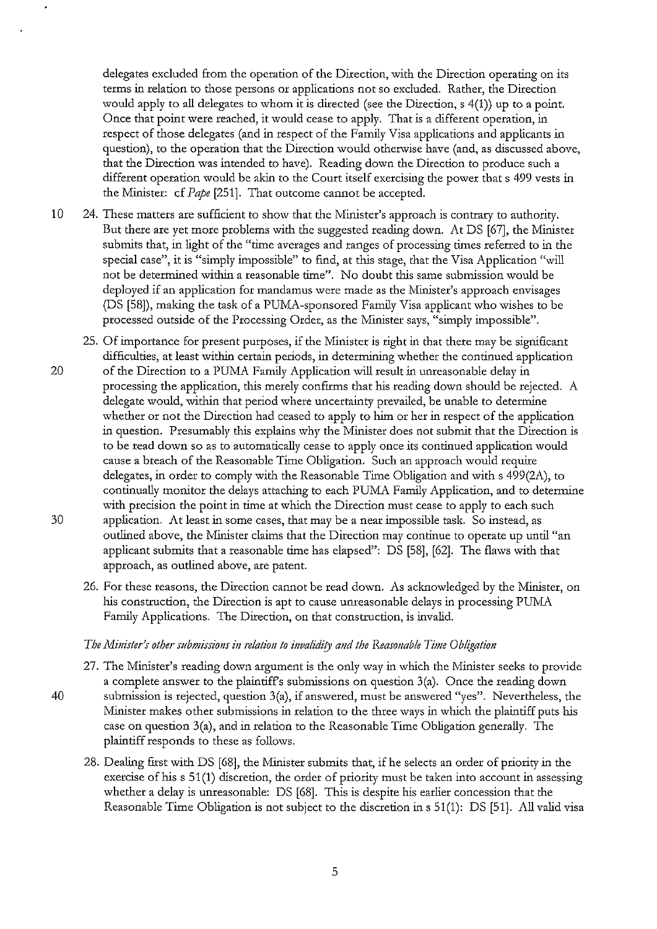delegates excluded from the operation of the Direction, with the Direction operating on its terms in relation to those persons or applications not so excluded. Rather, the Direction would apply to all delegates to whom it is directed (see the Direction, s 4(1)) up to a point. Once that point were reached, it would cease to apply. That is a different operation, in respect of those delegates (and in respect of the Family Visa applications and applicants in question), to the operation that the Direction would otherwise have (and, as discussed above, that the Direction was intended to have). Reading down the Direction to produce such a different operation would be akin to the Court itself exercising the power that s 499 vests in the Minister: cf *Pape* [251]. That outcome cannot be accepted.

10 24. These matters are sufficient to show that the Minister's approach is contrary to authority. But there are yet more problems with the suggested reading down. At DS [67], the Minister submits that, in light of the "time averages and ranges of processing times referred to in the special case", it is "simply impossible" to find, at this stage, that the Visa Application "will not be determined within a reasonable time". No doubt this same submission would be deployed if an application for mandamus were made as the Minister's approach envisages (DS [58]), making the task of a PUMA-sponsored Family Visa applicant who wishes to be processed outside of the Processing Order, as the Minister says, "simply impossible".

25. Of importance for present purposes, if the Minister is right in that there may be significant difficulties, at least within certain periods, in determining whether the continued application

- 20 of the Direction to a PUMA Family Application will result in unreasonable delay in processing the application, this merely confirms that his reading down should be rejected. A delegate would, within that period where uncertainty prevailed, be unable to determine whether or not the Direction had ceased to apply to him or her in respect of the application in question. Presumably this explains why the Minister does not submit that the Direction is to be read down so as to automatically cease to apply once its continued application would cause a breach of the Reasonable Time Obligation. Such an approach would require delegates, in order to comply with the Reasonable Time Obligation and with  $\frac{499(2A)}{100}$ , to continually monitor the delays attaching to each PUMA Family Application, and to determine with precision the point in time at which the Direction must cease to apply to each such 30 application. At least in some cases, that may be a near impossible task. So instead, as outlined above, the Minister claims that the Direction may continue to operate up until "an applicant submits that a reasonable time has elapsed": DS [58], [62]. The flaws with that approach, as outlined above, are patent.
	- 26. For these reasons, the Direction cannot be read down. As acknowledged by the Minister, on his construction, the Direction is apt to cause unreasonable delays in processing PUMA Family Applications. The Direction, on that construction, is invalid.

#### *The Minister's other submissions in relation to invalidity and the Reasonable Time Obligation*

- 27. The Minister's reading down argument is the only way in which the Minister seeks to provide a complete answer to the plaintiff's submissions on question  $3(a)$ . Once the reading down
- 40 submission is rejected, question 3(a), if answered, must be answered "yes". Nevertheless, the Minister makes other submissions in relation to the three ways in which the plaintiff puts his case on question  $3(a)$ , and in relation to the Reasonable Time Obligation generally. The plaintiff responds to these as follows.
	- 28. Dealing first with DS [68], the Minister submits that, if he selects an order of priority in the exercise of his s 51(1) discretion, the order of priority must be taken into account in assessing whether a delay is unreasonable: DS [68]. This is despite his earlier concession that the Reasonable Time Obligation is not subject to the discretion in  $s$  51(1): DS [51]. All valid visa

5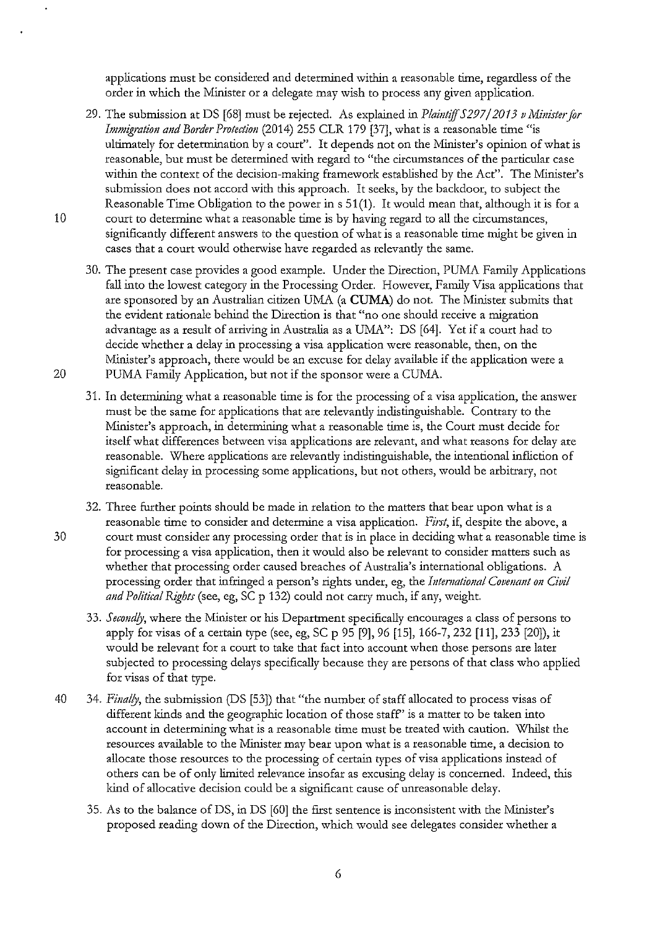applications must be considered and determined within a reasonable time, regardless of the order in which the Minister or a delegate may wish to process any given application.

29. The submission at DS [68] must be rejected. As explained in *Plaintiff 5297/2013* 11 *1\!Iinisterfor Immigration and Border Protection* (2014) 255 CLR 179 [37], what is a reasonable time "is ultimately for determination by a court". It depends not on the Minister's opinion of what is reasonable, but must be determined with regard to "the circumstances of the particular case within the context of the decision-making framework established by the Act". The Minister's submission does not accord with this approach. It seeks, by the backdoor, to subject the Reasonable Time Obligation to the power in s 51(1). It would mean that, although it is for a

10 court to determine what a reasonable time is by having regard to all the circumstances, significandy different answers to the question of what is a reasonable time might be given in cases that a court would otherwise have regarded as relevandy the same.

30. The present case provides a good example. Under the Direction, PUMA Family Applications fall into the lowest category in the Processing Order. However, Family Visa applications that are sponsored by an Australian citizen UMA (a **CUMA**) do not. The Minister submits that the evident rationale behind the Direction is that "no one should receive a migration advantage as a result of arriving in Australia as a UMA": DS [64]. Yet if a court had to decide whether a delay in processing a visa application were reasonable, then, on the Minister's approach, there would be an excuse for delay available if the application were a 20 PUMA Family Application, but not if the sponsor were a CUMA.

- 31. In determining what a reasonable time is for the processing of a visa application, the answer must be the same for applications that are relevandy indistinguishable. Contrary to the Minister's approach, in determining what a reasonable time is, the Court must decide for itself what differences between visa applications are relevant, and what reasons for delay are reasonable. Where applications are relevandy indistinguishable, the intentional infliction of significant delay in processing some applications, but not others, would be arbitrary, not reasonable.
- 32. Three further points should be made in relation to the matters that bear upon what is a reasonable time to consider and determine a visa application. *First*, if, despite the above, a 30 court must consider any processing order that is in place in deciding what a reasonable time is for processing a visa application, then it would also be relevant to consider matters such as whether that processing order caused breaches of Australia's international obligations. A processing order that infringed a person's rights under, eg, the *Intemational Covenant on Civil and Political Rights* (see, eg, SC p 132) could not cany much, if any, weight.
	- 33. Secondly, where the Minister or his Department specifically encourages a class of persons to apply for visas of a certain type (see, eg, SC p 95 [9], 96 [15], 166-7, 232 [11], 233 [20]), it would be relevant for a court to take that fact into account when those persons are later subjected to processing delays specifically because they are persons of that class who applied for visas of that type.
- 40 34. *Finally*, the submission (DS [53]) that "the number of staff allocated to process visas of different kinds and the geographic location of those staff' is a matter to be taken into account in determining what is a reasonable time must be treated with caution. Whilst the resources available to the Minister may bear upon what is a reasonable time, a decision to allocate those resources to the processing of certain types of visa applications instead of others can be of only limited relevance insofar as excusing delay is concerned. Indeed, this kind of allocative decision could be a significant cause of unreasonable delay.
	- 35. As to the balance ofDS, in DS [60] the first sentence is inconsistent with the Minister's proposed reading down of the Direction, which would see delegates consider whether a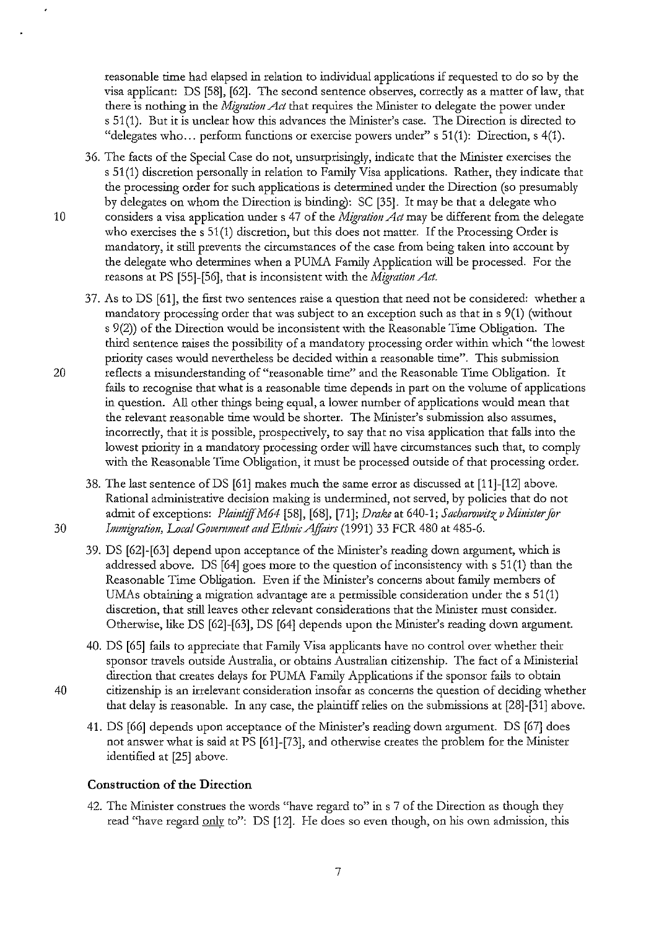reasonable time had elapsed in relation to individual applications if requested to do so by the visa applicant: DS [58], [62]. The second sentence observes, correctly as a matter oflaw, that there is nothing in the *Migration Act* that requires the Minister to delegate the power under s 51(1). But it is unclear how this advances the Minister's case. The Direction is directed to "delegates who... perform functions or exercise powers under" s  $51(1)$ : Direction, s  $4(1)$ .

36. The facts of the Special Case do not, unsurprisingly, indicate that the Minister exercises the s 51(1) discretion personally in relation to Family Visa applications. Rather, they indicate that the processing order for such applications is determined under the Direction (so presumably by delegates on whom the Direction is binding): SC [35]. It may be that a delegate who 10 considers a visa application under s 47 of the *Migration Act* may be different from the delegate who exercises the  $s$  51(1) discretion, but this does not matter. If the Processing Order is mandatory, it still prevents the circumstances of the case from being taken into account by the delegate who determines when a PUMA Family Application will be processed. For the reasons at PS [55]-[56], that is inconsistent with the *Migration Act.* 

37. As to DS [61], the first two sentences raise a question that need not be considered: whether a mandatory processing order that was subject to an exception such as that ins 9(1) (without s 9(2)) of the Direction would be inconsistent with the Reasonable Time Obligation. The third sentence raises the possibility of a mandatory processing order within which "the lowest priority cases would nevertheless be decided within a reasonable time". This submission 20 reflects a misunderstanding of "reasonable time" and the Reasonable Time Obligation. It fails to recognise that what is a reasonable time depends in part on the volume of applications in question. All other things being equal, a lower number of applications would mean that the relevant reasonable time would be shorter. The Minister's submission also assumes, incorrectly, that it is possible, prospectively, to say that no visa application that falls into the lowest priority in a mandatory processing order will have circumstances such that, to comply with the Reasonable Time Obligation, it must be processed outside of that processing order.

38. The last sentence ofDS [61] makes much the same error as discussed at [11]-[12] above. Rational administrative decision making is undermined, not served, by policies that do not admit of exceptions: *Plaintiff M64* [58], [68], [71]; *Drake* at 640-1; *Sacharowitz v Minister for* 30 *Immigration, Local Government and Ethnic Affairs* (1991) 33 FCR 480 at 485-6.

39. DS [62]-[63] depend upon acceptance of the Minister's reading down argument, which is addressed above. DS [64] goes more to the question of inconsistency with s 51(1) than the Reasonable Time Obligation. Even if the Minister's concerns about family members of UMAs obtaining a migration advantage are a permissible consideration under the  $s 51(1)$ discretion, that still leaves other relevant considerations that the Minister must consider. Otherwise, like DS [62]-[63], DS [64] depends upon the Minister's reading down argument.

40. DS [65] fails to appreciate that Family Visa applicants have no control over whether their sponsor travels outside Australia, or obtains Australian citizenship. The fact of a Ministerial direction that creates delays for PUMA Family Applications if the sponsor fails to obtain 40 citizenship is an irrelevant consideration insofar as concerns the question of deciding whether that delay is reasonable. In any case, the plaintiff relies on the submissions at [28]-[31] above.

41. DS [66] depends upon acceptance of the Minister's reading down argument. DS [67] does not answer what is said at PS [61]-[73], and otherwise creates the problem for the Minister identified at [25] above.

## **Construction of the Direction**

42. The Minister construes the words "have regard to" in s 7 of the Direction as though they read "have regard only to": DS [12]. He does so even though, on his own admission, this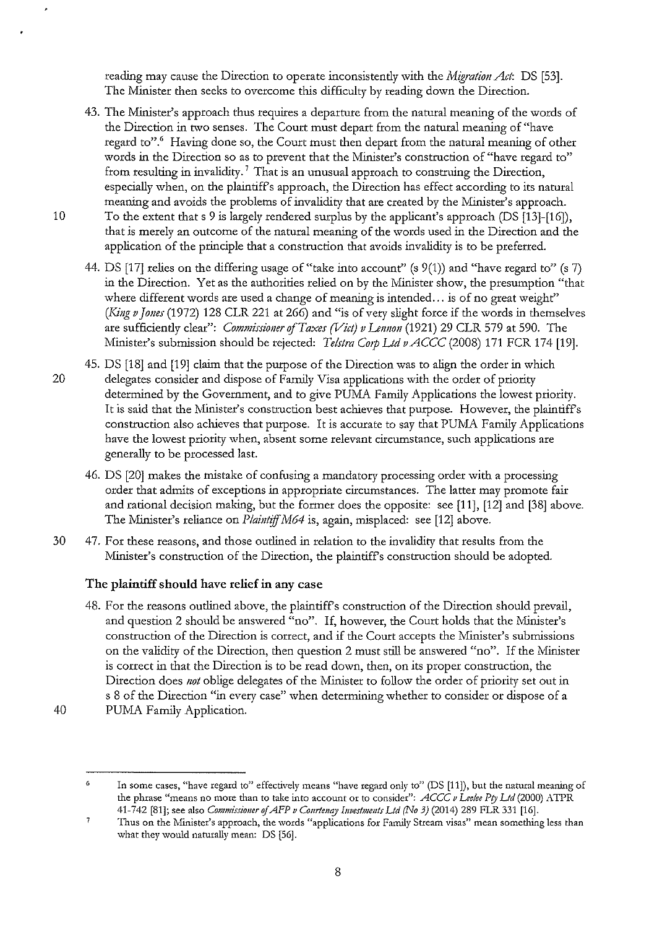reading may cause the Direction to operate inconsistently with the *Migration Act*: DS [53]. The Minister then seeks to overcome this difficulty by reading down the Direction.

- 43. The Minister's approach thus requires a departure from the natural meaning of the words of the Direction in two senses. The Court must depart from the natural meaning of "have regard to".<sup>6</sup> Having done so, the Court must then depart from the natural meaning of other words in the Direction so as to prevent that the Minister's construction of "have regard to" from resulting in invalidity.<sup>7</sup> That is an unusual approach to construing the Direction, especially when, on the plaintiff's approach, the Direction has effect according to its natural meaning and avoids the problems of invalidity that are created by the Minister's approach.
- 10 To the extent that s 9 is largely rendered surplus by the applicant's approach (OS [13]-[16]), that is merely an outcome of the natural meaning of the words used in the Direction and the application of the principle that a consttuction that avoids invalidity is to be preferred.
	- 44. DS [17] relies on the differing usage of "take into account" (s 9(1)) and "have regard to" (s 7) in the Direction. Yet as the authorities relied on by the Minister show, the presumption "that where different words are used a change of meaning is intended... is of no great weight" *(King v Jones* (1972) 128 CLR 221 at 266) and "is of very slight force if the words in themselves are sufficiently clear": *Commissioner of Taxes (Vict) v Lennon* (1921) 29 CLR 579 at 590. The Minister's submission should be rejected: *Telstra Corp Ltd v ACCC* (2008) 171 FCR 174 [19].
- 45. DS [18] and [19] claim that the purpose of the Direction was to align the order in which 20 delegates consider and dispose of Family Visa applications with the order of priority determined by the Government, and to give PUMA Family Applications the lowest priority. It is said that the Minister's construction best achieves that purpose. However, the plaintiff's construction also achieves that purpose. It is accurate to say that PUMA Family Applications have the lowest priority when, absent some relevant circumstance, such applications are generally to be processed last.
	- 46. DS [20] makes the mistake of confusing a mandatory processing order with a processing order that admits of exceptions in appropriate circumstances. The latter may promote fair and rational decision making, but the former does the opposite: see [11], [12] and [38] above. The Minister's reliance on *Plaintiff M64* is, again, misplaced: see [12] above.
- 30 47. For these reasons, and those outlined in relation to the invalidity that results from the Minister's construction of the Direction, the plaintiff's construction should be adopted.

# The plaintiff should have relief in any case

- 48. For the reasons outlined above, the plaintiff's construction of the Direction should prevail, and question 2 should be answered "no". If, however, the Court holds that the Minister's construction of the Direction is correct, and if the Court accepts the Minister's submissions on the validity of the Direction, then question 2 must still be answered "no". If the Minister is correct in that the Direction is to be read down, then, on its proper constmction, the Direction does *not* oblige delegates of the Minister to follow the order of priority set out in s 8 of the Direction "in every case" when determining whether to consider or dispose of a 40 PUMA Family Application.
- 

8

<sup>6</sup>  In some cases, ''have regard to" effectively means "have regard only to" (DS [11 ]), but the natural meaning of the phrase "means no more than to take into account or to consider": *ACCC v Lee/ce Pry Ud* (2000) A TPR 41-742 [81]; see also *Commissioner* of *AFP v Conrtenqy Investments Lid (No 3)* (2014) 289 FLR 331 [16].

<sup>7</sup>  Thus on the Minister's approach, the words "applications for Family Stream visas" mean something less than what they would naturally mean: DS [56].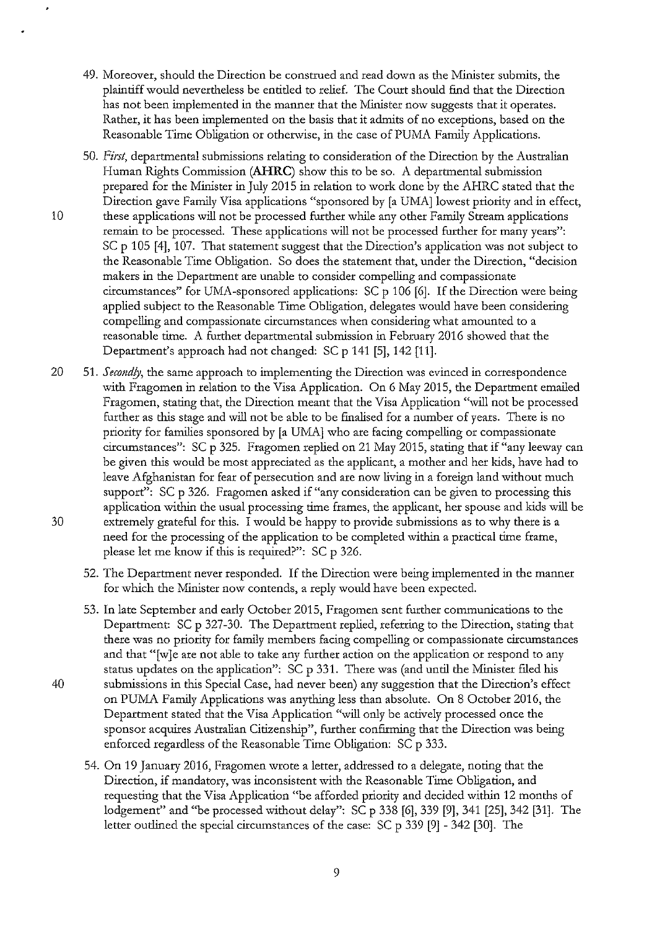- 49. Moreover, should the Direction be construed and read down as the Minister submits, the plaintiff would nevertheless be entitled to relief. The Court should find that the Direction has not been implemented in the manner that the Minister now suggests that it operates. Rather, it has been implemented on the basis that it admits of no exceptions, based on the Reasonable Time Obligation or othenvise, in the case of PUMA Family Applications.
- 50. *First,* departmental submissions relating to consideration of the Direction by the Australian Human Rights Commission **(AHRC)** show this to be so. A departmental submission prepared for the Minister in July 2015 in relation to work done by the AHRC stated that the Direction gave Family Visa applications "sponsored by [a UMA] lowest priority and in effect, 10 these applications will not be processed further while any other Family Stream applications remain to be processed. These applications will not be processed further for many years": SC p 105 [4], 107. That statement suggest that the Direction's application was not subject to the Reasonable Time Obligation. So does the statement that, under the Direction, "decision makers in the Department are unable to consider compelling and compassionate circumstances" for UMA-sponsored applications: SC p 106 [6]. If the Direction were being applied subject to the Reasonable Time Obligation, delegates would have been considering compelling and compassionate circumstances when consideting what amounted to a reasonable time. A further departmental submission in February 2016 showed that the Department's approach had not changed: SC p 141 [5], 142 [11].
- 20 51. *Secondly,* the same approach to implementing the Direction was evinced in correspondence with Fragomen in relation to the Visa Application. On 6 May 2015, the Department emailed Fragomen, stating that, the Direction meant that the Visa Application "will not be processed further as this stage and will not be able to be finalised for a number of years. There is no priority for families sponsored by [a UMA] who are facing compelling or compassionate circumstances": SC p 325. Fragomen replied on 21 May 2015, stating that if"any leeway can be given this would be most appreciated as the applicant, a mother and her kids, have had to leave Afghanistan for fear of persecution and are now living in a foreign land without much support": SC p 326. Fragomen asked if "any consideration can be given to processing this application within the usual processing time frames, the applicant, her spouse and kids will be 30 extremely grateful for this. I would be happy to provide submissions as to why there is a need for the processing of the application to be completed within a practical time frame, please let me know if this is required?": SC p 326.
	- 52. The Department never responded. If the Direction were being implemented in the manner for which the Minister now contends, a reply would have been expected.
- 53. In late September and early October 2015, Fragomen sent further communications to the Department: SC p 327-30. The Department replied, referring to the Direction, stating that there was no priority for family members facing compelling or compassionate circumstances and that "[w]e are not able to take any further action on the application or respond to any status updates on the application": SC p 331. There was (and until the Minister filed his 40 submissions in this Special Case, had never been) any suggestion that the Direction's effect on PUMA Family Applications was anything less than absolute. On 8 October 2016, the Department stated that the Visa Application "will only be actively processed once the sponsor acquires Australian Citizenship", further confirming that the Direction was being enforced regardless of the Reasonable Time Obligation: SC p 333.
	- 54. On 19 January 2016, Fragomen wrote a letter, addressed to a delegate, noting that the Direction, if mandatory, was inconsistent with the Reasonable Time Obligation, and requesting that the Visa Application "be afforded priority and decided within 12 months of lodgement" and "be processed without delay": SC p 338 [6], 339 [9], 341 [25], 342 [31]. The letter outlined the special circumstances of the case: SC p 339 [9] - 342 [30]. The